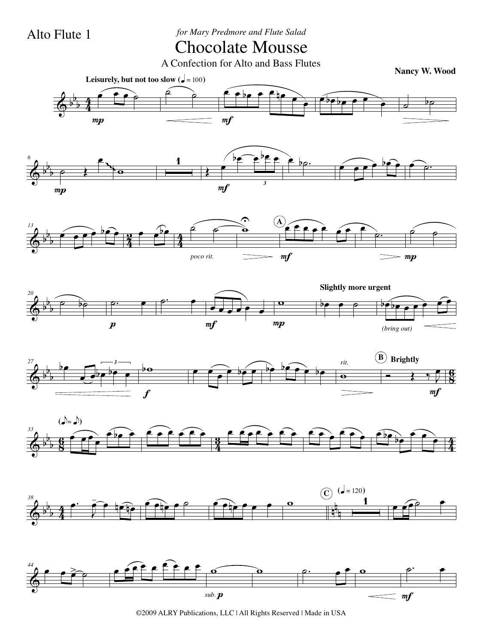Alto Flute 1 *for Mary Predmore and Flute Salad*

## Chocolate Mousse

A Confection for Alto and Bass Flutes

**Nancy W. Wood**



©2009 ALRY Publications, LLC | All Rights Reserved | Made in USA